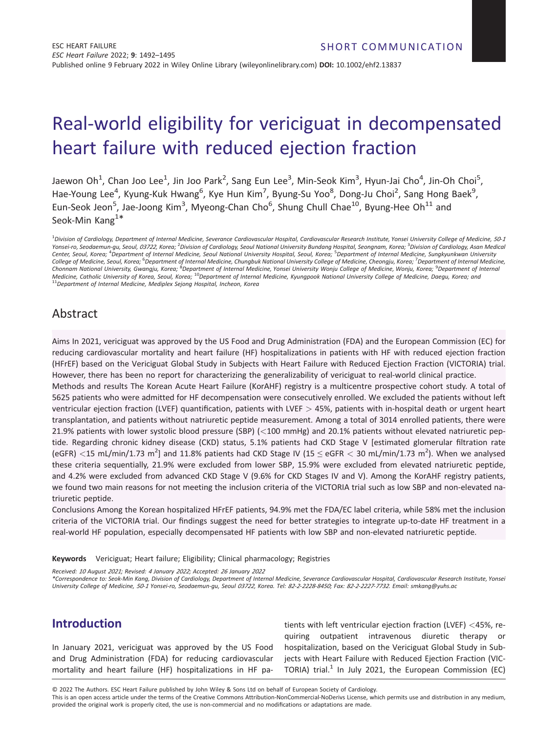# Real-world eligibility for vericiguat in decompensated heart failure with reduced ejection fraction

Jaewon Oh<sup>1</sup>, Chan Joo Lee<sup>1</sup>, Jin Joo Park<sup>2</sup>, Sang Eun Lee<sup>3</sup>, Min-Seok Kim<sup>3</sup>, Hyun-Jai Cho<sup>4</sup>, Jin-Oh Choi<sup>5</sup>, Hae-Young Lee<sup>4</sup>, Kyung-Kuk Hwang<sup>6</sup>, Kye Hun Kim<sup>7</sup>, Byung-Su Yoo<sup>8</sup>, Dong-Ju Choi<sup>2</sup>, Sang Hong Baek<sup>9</sup>, Eun-Seok Jeon<sup>5</sup>, Jae-Joong Kim<sup>3</sup>, Myeong-Chan Cho<sup>6</sup>, Shung Chull Chae<sup>10</sup>, Byung-Hee Oh<sup>11</sup> and Seok-Min Kang<sup>1\*</sup>

1 *Division of Cardiology, Department of Internal Medicine, Severance Cardiovascular Hospital, Cardiovascular Research Institute, Yonsei University College of Medicine, <sup>50</sup>-<sup>1</sup> Yonsei-ro, Seodaemun-gu, Seoul, <sup>03722</sup>, Korea;* <sup>2</sup> *Division of Cardiology, Seoul National University Bundang Hospital, Seongnam, Korea;* <sup>3</sup> *Division of Cardiology, Asan Medical Center, Seoul, Korea;* <sup>4</sup> *Department of Internal Medicine, Seoul National University Hospital, Seoul, Korea;* <sup>5</sup> *Department of Internal Medicine, Sungkyunkwan University College of Medicine, Seoul, Korea;* <sup>6</sup> *Department of Internal Medicine, Chungbuk National University College of Medicine, Cheongju, Korea;* <sup>7</sup> *Department of Internal Medicine, Chonnam National University, Gwangju, Korea;* <sup>8</sup> *Department of Internal Medicine, Yonsei University Wonju College of Medicine, Wonju, Korea;* <sup>9</sup> *Department of Internal* medicine, Catholic University, of Korea, Seoul, Korea; <sup>10</sup>Department of Internal Medicine, Kyungpook National University College of Medicine, Department of Internal Medicine, Department of Internal Medicine, Deeg, and<br><sup>11</sup>

# Abstract

Aims In 2021, vericiguat was approved by the US Food and Drug Administration (FDA) and the European Commission (EC) for reducing cardiovascular mortality and heart failure (HF) hospitalizations in patients with HF with reduced ejection fraction (HFrEF) based on the Vericiguat Global Study in Subjects with Heart Failure with Reduced Ejection Fraction (VICTORIA) trial. However, there has been no report for characterizing the generalizability of vericiguat to real-world clinical practice.

Methods and results The Korean Acute Heart Failure (KorAHF) registry is a multicentre prospective cohort study. A total of 5625 patients who were admitted for HF decompensation were consecutively enrolled. We excluded the patients without left ventricular ejection fraction (LVEF) quantification, patients with LVEF *>* 45%, patients with in-hospital death or urgent heart transplantation, and patients without natriuretic peptide measurement. Among a total of 3014 enrolled patients, there were 21.9% patients with lower systolic blood pressure (SBP) (*<*100 mmHg) and 20.1% patients without elevated natriuretic peptide. Regarding chronic kidney disease (CKD) status, 5.1% patients had CKD Stage V [estimated glomerular filtration rate (eGFR) <15 mL/min/1.73 m<sup>2</sup>] and 11.8% patients had CKD Stage IV (15 ≤ eGFR < 30 mL/min/1.73 m<sup>2</sup>). When we analysed these criteria sequentially, 21.9% were excluded from lower SBP, 15.9% were excluded from elevated natriuretic peptide, and 4.2% were excluded from advanced CKD Stage V (9.6% for CKD Stages IV and V). Among the KorAHF registry patients, we found two main reasons for not meeting the inclusion criteria of the VICTORIA trial such as low SBP and non-elevated natriuretic peptide.

Conclusions Among the Korean hospitalized HFrEF patients, 94.9% met the FDA/EC label criteria, while 58% met the inclusion criteria of the VICTORIA trial. Our findings suggest the need for better strategies to integrate up-to-date HF treatment in a real-world HF population, especially decompensated HF patients with low SBP and non-elevated natriuretic peptide.

**Keywords** Vericiguat; Heart failure; Eligibility; Clinical pharmacology; Registries

*Received: <sup>10</sup> August <sup>2021</sup>; Revised: <sup>4</sup> January <sup>2022</sup>; Accepted: <sup>26</sup> January <sup>2022</sup>*

*\*Correspondence to: Seok-Min Kang, Division of Cardiology, Department of Internal Medicine, Severance Cardiovascular Hospital, Cardiovascular Research Institute, Yonsei* University College of Medicine, 50-1 Yonsei-ro, Seodaemun-gu, Seoul 03722, Korea. Tel: 82-2-2228-8450; Fax: 82-2-2227-7732. Email: smkanq@yuhs.ac

# **Introduction**

In January 2021, vericiguat was approved by the US Food and Drug Administration (FDA) for reducing cardiovascular mortality and heart failure (HF) hospitalizations in HF pa-

tients with left ventricular ejection fraction (LVEF) *<*45%, requiring outpatient intravenous diuretic therapy or hospitalization, based on the Vericiguat Global Study in Subjects with Heart Failure with Reduced Ejection Fraction (VIC-TORIA) trial.<sup>1</sup> In July 2021, the European Commission (EC)

© 2022 The Authors. ESC Heart Failure published by John Wiley & Sons Ltd on behalf of European Society of Cardiology.

This is an open access article under the terms of the [Creative Commons Attribution-NonCommercial-NoDerivs](http://creativecommons.org/licenses/by-nc-nd/4.0/) License, which permits use and distribution in any medium, provided the original work is properly cited, the use is non-commercial and no modifications or adaptations are made.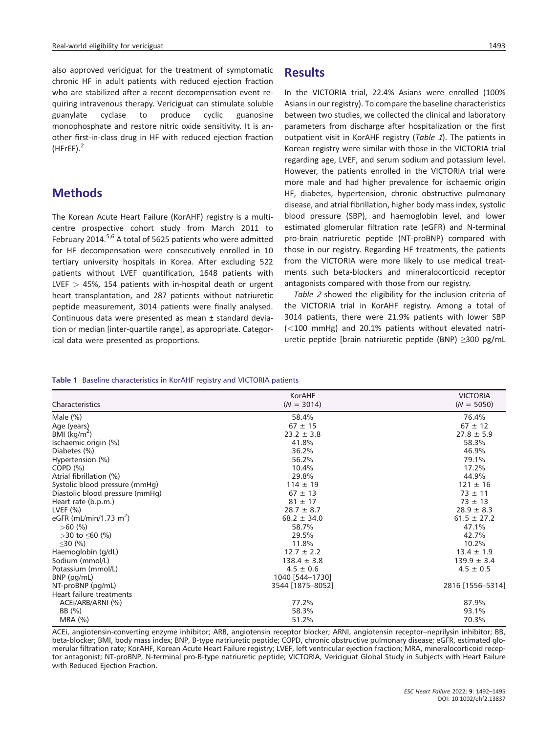also approved vericiguat for the treatment of symptomatic chronic HF in adult patients with reduced ejection fraction who are stabilized after a recent decompensation event requiring intravenous therapy. Vericiguat can stimulate soluble guanylate cyclase to produce cyclic guanosine monophosphate and restore nitric oxide sensitivity. It is another first-in-class drug in HF with reduced ejection fraction  $(H$ FrEF $)$ <sup>2</sup>

#### **Methods**

The Korean Acute Heart Failure (KorAHF) registry is a multicentre prospective cohort study from March 2011 to February 2014.<sup>5,6</sup> A total of 5625 patients who were admitted for HF decompensation were consecutively enrolled in 10 tertiary university hospitals in Korea. After excluding 522 patients without LVEF quantification, 1648 patients with LVEF *>* 45%, 154 patients with in-hospital death or urgent heart transplantation, and 287 patients without natriuretic peptide measurement, 3014 patients were finally analysed. Continuous data were presented as mean ± standard deviation or median [inter-quartile range], as appropriate. Categorical data were presented as proportions.

#### **Results**

In the VICTORIA trial, 22.4% Asians were enrolled (100% Asians in our registry). To compare the baseline characteristics between two studies, we collected the clinical and laboratory parameters from discharge after hospitalization or the first outpatient visit in KorAHF registry (*Table <sup>1</sup>*). The patients in Korean registry were similar with those in the VICTORIA trial regarding age, LVEF, and serum sodium and potassium level. However, the patients enrolled in the VICTORIA trial were more male and had higher prevalence for ischaemic origin HF, diabetes, hypertension, chronic obstructive pulmonary disease, and atrial fibrillation, higher body mass index, systolic blood pressure (SBP), and haemoglobin level, and lower estimated glomerular filtration rate (eGFR) and N-terminal pro-brain natriuretic peptide (NT-proBNP) compared with those in our registry. Regarding HF treatments, the patients from the VICTORIA were more likely to use medical treatments such beta-blockers and mineralocorticoid receptor antagonists compared with those from our registry.

*Table <sup>2</sup>* showed the eligibility for the inclusion criteria of the VICTORIA trial in KorAHF registry. Among a total of 3014 patients, there were 21.9% patients with lower SBP (*<*100 mmHg) and 20.1% patients without elevated natriuretic peptide [brain natriuretic peptide (BNP) ≥300 pg/mL

#### **Table 1** Baseline characteristics in KorAHF registry and VICTORIA patients

|                                    | KorAHF           | <b>VICTORIA</b>  |
|------------------------------------|------------------|------------------|
| Characteristics                    | $(N = 3014)$     | $(N = 5050)$     |
| Male $(\%)$                        | 58.4%            | 76.4%            |
| Age (years)                        | $67 \pm 15$      | $67 \pm 12$      |
| BMI $(kg/m2)$                      | $23.2 \pm 3.8$   | $27.8 \pm 5.9$   |
| Ischaemic origin (%)               | 41.8%            | 58.3%            |
| Diabetes (%)                       | 36.2%            | 46.9%            |
| Hypertension (%)                   | 56.2%            | 79.1%            |
| COPD <sub>(</sub> %)               | 10.4%            | 17.2%            |
| Atrial fibrillation (%)            | 29.8%            | 44.9%            |
| Systolic blood pressure (mmHg)     | $114 \pm 19$     | $121 \pm 16$     |
| Diastolic blood pressure (mmHg)    | $67 \pm 13$      | $73 \pm 11$      |
| Heart rate (b.p.m.)                | $81 \pm 17$      | $73 \pm 13$      |
| LVEF $(%)$                         | $28.7 \pm 8.7$   | $28.9 \pm 8.3$   |
| eGFR (mL/min/1.73 m <sup>2</sup> ) | $68.2 \pm 34.0$  | $61.5 \pm 27.2$  |
| $>60$ (%)                          | 58.7%            | 47.1%            |
| $>$ 30 to $\leq$ 60 (%)            | 29.5%            | 42.7%            |
| $\leq$ 30 (%)                      | 11.8%            | 10.2%            |
| Haemoglobin (g/dL)                 | $12.7 \pm 2.2$   | $13.4 \pm 1.9$   |
| Sodium (mmol/L)                    | $138.4 \pm 3.8$  | $139.9 \pm 3.4$  |
| Potassium (mmol/L)                 | $4.5 \pm 0.6$    | $4.5 \pm 0.5$    |
| BNP (pg/mL)                        | 1040 [544-1730]  |                  |
| NT-proBNP (pg/mL)                  | 3544 [1875-8052] | 2816 [1556-5314] |
| Heart failure treatments           |                  |                  |
| ACEI/ARB/ARNI (%)                  | 77.2%            | 87.9%            |
| BB (%)                             | 58.3%            | 93.1%            |
| MRA (%)                            | 51.2%            | 70.3%            |

ACEi, angiotensin-converting enzyme inhibitor; ARB, angiotensin receptor blocker; ARNI, angiotensin receptor–neprilysin inhibitor; BB, beta-blocker; BMI, body mass index; BNP, B-type natriuretic peptide; COPD, chronic obstructive pulmonary disease; eGFR, estimated glomerular filtration rate; KorAHF, Korean Acute Heart Failure registry; LVEF, left ventricular ejection fraction; MRA, mineralocorticoid receptor antagonist; NT-proBNP, N-terminal pro-B-type natriuretic peptide; VICTORIA, Vericiguat Global Study in Subjects with Heart Failure with Reduced Ejection Fraction.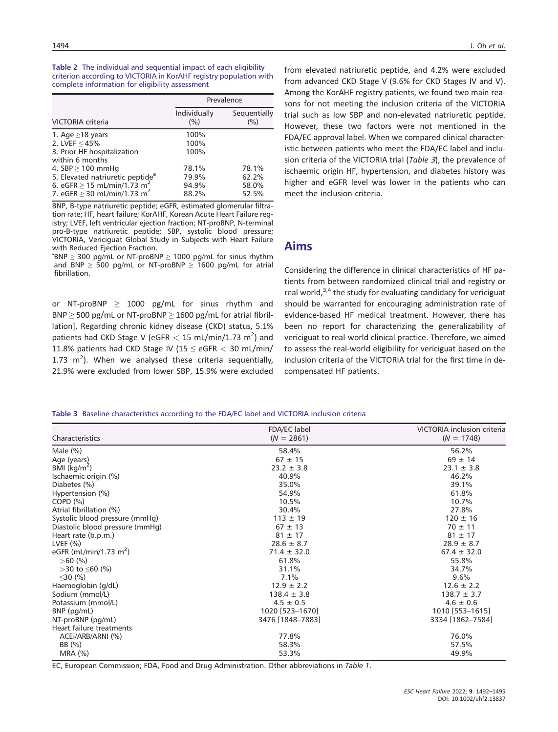**Table 2** The individual and sequential impact of each eligibility criterion according to VICTORIA in KorAHF registry population with complete information for eligibility assessment

|                                                                                                                                                                        |                                  | Prevalence                       |  |
|------------------------------------------------------------------------------------------------------------------------------------------------------------------------|----------------------------------|----------------------------------|--|
| <b>VICTORIA</b> criteria                                                                                                                                               | Individually<br>(%)              | Sequentially<br>(%)              |  |
| 1. Age $\geq$ 18 years<br>2. LVEF $<$ 45%<br>3. Prior HF hospitalization<br>within 6 months                                                                            | 100%<br>100%<br>100%             |                                  |  |
| 4. SBP $\geq$ 100 mmHg<br>5. Elevated natriuretic peptide <sup>a</sup><br>6. eGFR $\geq$ 15 mL/min/1.73 m <sup>2</sup><br>7. eGFR $\geq$ 30 mL/min/1.73 m <sup>2</sup> | 78.1%<br>79.9%<br>94.9%<br>88.2% | 78.1%<br>62.2%<br>58.0%<br>52.5% |  |

BNP, B-type natriuretic peptide; eGFR, estimated glomerular filtration rate; HF, heart failure; KorAHF, Korean Acute Heart Failure registry; LVEF, left ventricular ejection fraction; NT-proBNP, N-terminal pro-B-type natriuretic peptide; SBP, systolic blood pressure; VICTORIA, Vericiguat Global Study in Subjects with Heart Failure with Reduced Ejection Fraction.

 $\textsuperscript{a}$  BNP  $\geq$  300 pg/mL or NT-proBNP  $\geq$  1000 pg/mL for sinus rhythm and BNP  $\geq$  500 pg/mL or NT-proBNP  $\geq$  1600 pg/mL for atrial fibrillation.

or NT-proBNP  $\geq$  1000 pg/mL for sinus rhythm and BNP  $\geq$  500 pg/mL or NT-proBNP  $\geq$  1600 pg/mL for atrial fibrillation]. Regarding chronic kidney disease (CKD) status, 5.1% patients had CKD Stage V (eGFR  $< 15$  mL/min/1.73 m<sup>2</sup>) and 11.8% patients had CKD Stage IV (15 ≤ eGFR *<* 30 mL/min/ 1.73  $m^2$ ). When we analysed these criteria sequentially, 21.9% were excluded from lower SBP, 15.9% were excluded

from elevated natriuretic peptide, and 4.2% were excluded from advanced CKD Stage V (9.6% for CKD Stages IV and V). Among the KorAHF registry patients, we found two main reasons for not meeting the inclusion criteria of the VICTORIA trial such as low SBP and non-elevated natriuretic peptide. However, these two factors were not mentioned in the FDA/EC approval label. When we compared clinical characteristic between patients who meet the FDA/EC label and inclusion criteria of the VICTORIA trial (*Table <sup>3</sup>*), the prevalence of ischaemic origin HF, hypertension, and diabetes history was higher and eGFR level was lower in the patients who can meet the inclusion criteria.

#### **Aims**

Considering the difference in clinical characteristics of HF patients from between randomized clinical trial and registry or real world, $3,4$  the study for evaluating candidacy for vericiguat should be warranted for encouraging administration rate of evidence-based HF medical treatment. However, there has been no report for characterizing the generalizability of vericiguat to real-world clinical practice. Therefore, we aimed to assess the real-world eligibility for vericiguat based on the inclusion criteria of the VICTORIA trial for the first time in decompensated HF patients.

**Table 3** Baseline characteristics according to the FDA/EC label and VICTORIA inclusion criteria

| Characteristics                    | FDA/EC label<br>$(N = 2861)$ | VICTORIA inclusion criteria<br>$(N = 1748)$ |
|------------------------------------|------------------------------|---------------------------------------------|
| Male $(\%)$                        | 58.4%                        | 56.2%                                       |
| Age (years)                        | $67 \pm 15$                  | $69 \pm 14$                                 |
| BMI ( $\text{kg/m}^2$ )            | $23.2 \pm 3.8$               | $23.1 \pm 3.8$                              |
| Ischaemic origin (%)               | 40.9%                        | 46.2%                                       |
| Diabetes (%)                       | 35.0%                        | 39.1%                                       |
| Hypertension (%)                   | 54.9%                        | 61.8%                                       |
| COPD <sub>(</sub> %)               | 10.5%                        | 10.7%                                       |
| Atrial fibrillation (%)            | 30.4%                        | 27.8%                                       |
| Systolic blood pressure (mmHg)     | $113 \pm 19$                 | $120 \pm 16$                                |
| Diastolic blood pressure (mmHg)    | $67 \pm 13$                  | $70 \pm 11$                                 |
| Heart rate (b.p.m.)                | $81 \pm 17$                  | $81 \pm 17$                                 |
| LVEF $(% )$                        | $28.6 \pm 8.7$               | $28.9 \pm 8.7$                              |
| eGFR (mL/min/1.73 m <sup>2</sup> ) | $71.4 \pm 32.0$              | $67.4 \pm 32.0$                             |
| $>60$ (%)                          | 61.8%                        | 55.8%                                       |
| $>$ 30 to $\leq$ 60 (%)            | 31.1%                        | 34.7%                                       |
| $\leq$ 30 (%)                      | 7.1%                         | 9.6%                                        |
| Haemoglobin (g/dL)                 | $12.9 \pm 2.2$               | $12.6 \pm 2.2$                              |
| Sodium (mmol/L)                    | $138.4 \pm 3.8$              | $138.7 \pm 3.7$                             |
| Potassium (mmol/L)                 | $4.5 \pm 0.5$                | $4.6 \pm 0.6$                               |
| BNP (pg/mL)                        | 1020 [523-1670]              | 1010 [553-1615]                             |
| NT-proBNP (pg/mL)                  | 3476 [1848-7883]             | 3334 [1862-7584]                            |
| Heart failure treatments           |                              |                                             |
| ACEI/ARB/ARNI (%)                  | 77.8%                        | 76.0%                                       |
| BB $(%)$                           | 58.3%                        | 57.5%                                       |
| $MRA$ $(\%)$                       | 53.3%                        | 49.9%                                       |

EC, European Commission; FDA, Food and Drug Administration. Other abbreviations in *Table 1*.